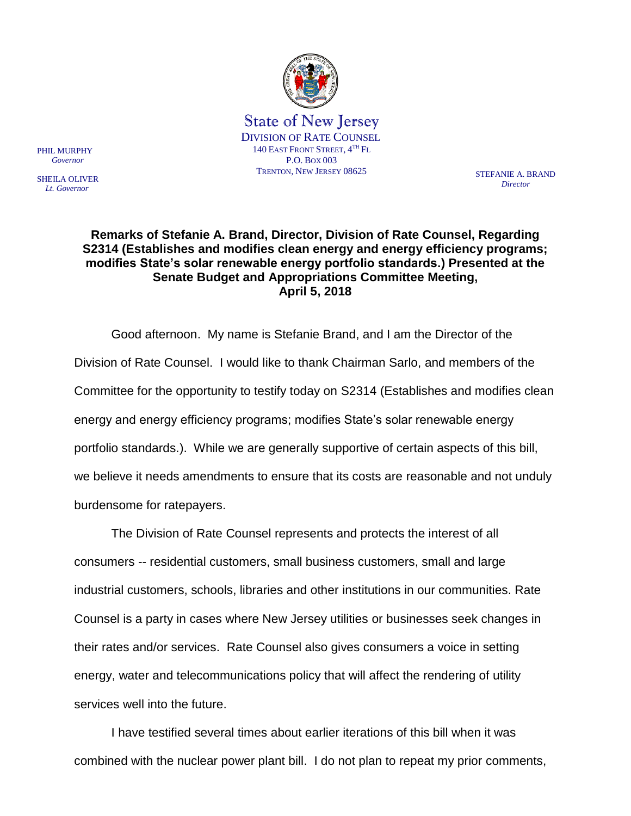

*Director*

## **Remarks of Stefanie A. Brand, Director, Division of Rate Counsel, Regarding S2314 (Establishes and modifies clean energy and energy efficiency programs; modifies State's solar renewable energy portfolio standards.) Presented at the Senate Budget and Appropriations Committee Meeting, April 5, 2018**

Good afternoon. My name is Stefanie Brand, and I am the Director of the Division of Rate Counsel. I would like to thank Chairman Sarlo, and members of the Committee for the opportunity to testify today on S2314 (Establishes and modifies clean energy and energy efficiency programs; modifies State's solar renewable energy portfolio standards.). While we are generally supportive of certain aspects of this bill, we believe it needs amendments to ensure that its costs are reasonable and not unduly burdensome for ratepayers.

The Division of Rate Counsel represents and protects the interest of all consumers -- residential customers, small business customers, small and large industrial customers, schools, libraries and other institutions in our communities. Rate Counsel is a party in cases where New Jersey utilities or businesses seek changes in their rates and/or services. Rate Counsel also gives consumers a voice in setting energy, water and telecommunications policy that will affect the rendering of utility services well into the future.

I have testified several times about earlier iterations of this bill when it was combined with the nuclear power plant bill. I do not plan to repeat my prior comments,

PHIL MURPHY  *Governor*

SHEILA OLIVER  *Lt. Governor*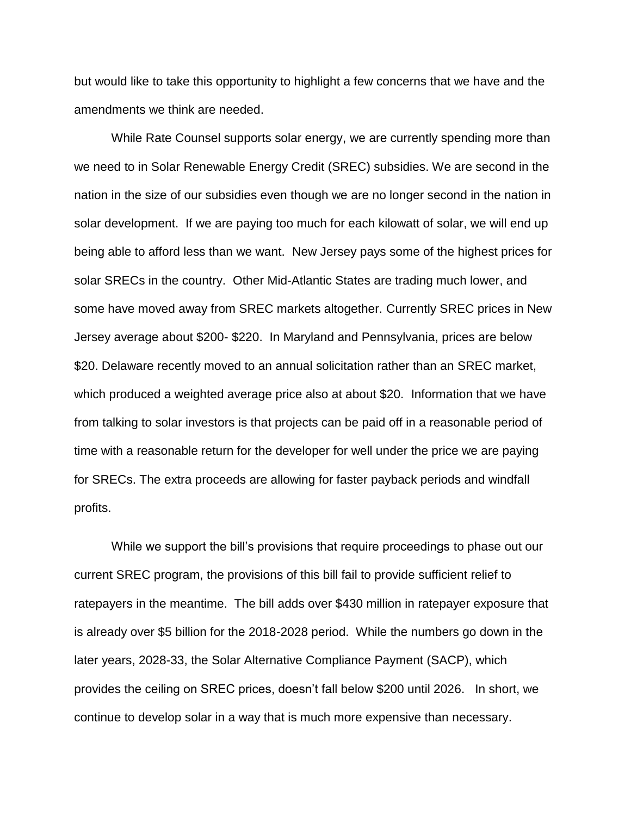but would like to take this opportunity to highlight a few concerns that we have and the amendments we think are needed.

While Rate Counsel supports solar energy, we are currently spending more than we need to in Solar Renewable Energy Credit (SREC) subsidies. We are second in the nation in the size of our subsidies even though we are no longer second in the nation in solar development. If we are paying too much for each kilowatt of solar, we will end up being able to afford less than we want. New Jersey pays some of the highest prices for solar SRECs in the country. Other Mid-Atlantic States are trading much lower, and some have moved away from SREC markets altogether. Currently SREC prices in New Jersey average about \$200- \$220. In Maryland and Pennsylvania, prices are below \$20. Delaware recently moved to an annual solicitation rather than an SREC market, which produced a weighted average price also at about \$20. Information that we have from talking to solar investors is that projects can be paid off in a reasonable period of time with a reasonable return for the developer for well under the price we are paying for SRECs. The extra proceeds are allowing for faster payback periods and windfall profits.

While we support the bill's provisions that require proceedings to phase out our current SREC program, the provisions of this bill fail to provide sufficient relief to ratepayers in the meantime. The bill adds over \$430 million in ratepayer exposure that is already over \$5 billion for the 2018-2028 period. While the numbers go down in the later years, 2028-33, the Solar Alternative Compliance Payment (SACP), which provides the ceiling on SREC prices, doesn't fall below \$200 until 2026. In short, we continue to develop solar in a way that is much more expensive than necessary.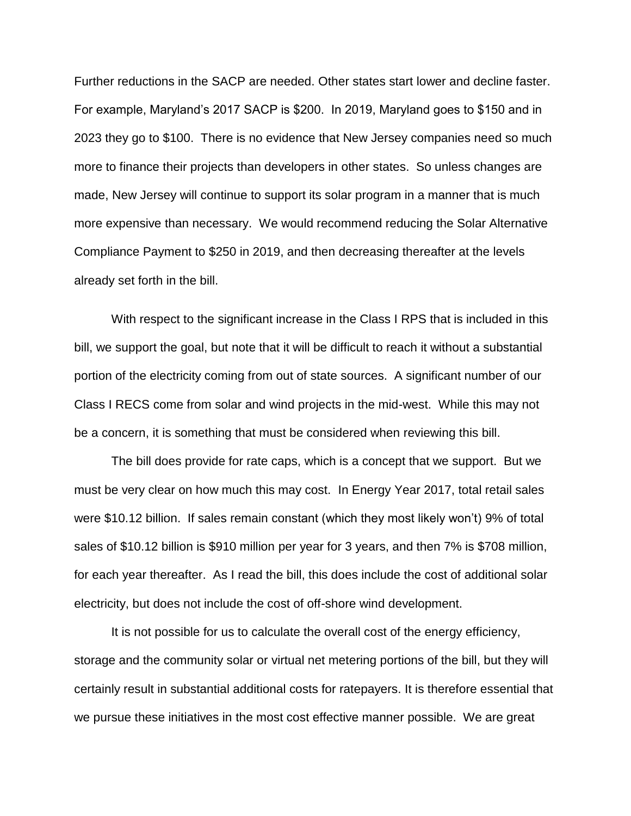Further reductions in the SACP are needed. Other states start lower and decline faster. For example, Maryland's 2017 SACP is \$200. In 2019, Maryland goes to \$150 and in 2023 they go to \$100. There is no evidence that New Jersey companies need so much more to finance their projects than developers in other states. So unless changes are made, New Jersey will continue to support its solar program in a manner that is much more expensive than necessary. We would recommend reducing the Solar Alternative Compliance Payment to \$250 in 2019, and then decreasing thereafter at the levels already set forth in the bill.

With respect to the significant increase in the Class I RPS that is included in this bill, we support the goal, but note that it will be difficult to reach it without a substantial portion of the electricity coming from out of state sources. A significant number of our Class I RECS come from solar and wind projects in the mid-west. While this may not be a concern, it is something that must be considered when reviewing this bill.

The bill does provide for rate caps, which is a concept that we support. But we must be very clear on how much this may cost. In Energy Year 2017, total retail sales were \$10.12 billion. If sales remain constant (which they most likely won't) 9% of total sales of \$10.12 billion is \$910 million per year for 3 years, and then 7% is \$708 million, for each year thereafter. As I read the bill, this does include the cost of additional solar electricity, but does not include the cost of off-shore wind development.

It is not possible for us to calculate the overall cost of the energy efficiency, storage and the community solar or virtual net metering portions of the bill, but they will certainly result in substantial additional costs for ratepayers. It is therefore essential that we pursue these initiatives in the most cost effective manner possible. We are great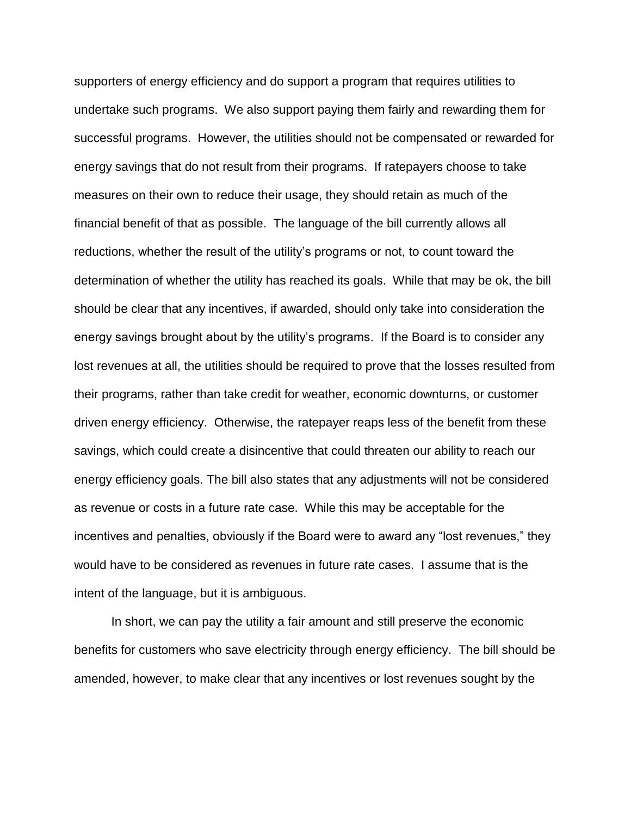supporters of energy efficiency and do support a program that requires utilities to undertake such programs. We also support paying them fairly and rewarding them for successful programs. However, the utilities should not be compensated or rewarded for energy savings that do not result from their programs. If ratepayers choose to take measures on their own to reduce their usage, they should retain as much of the financial benefit of that as possible. The language of the bill currently allows all reductions, whether the result of the utility's programs or not, to count toward the determination of whether the utility has reached its goals. While that may be ok, the bill should be clear that any incentives, if awarded, should only take into consideration the energy savings brought about by the utility's programs. If the Board is to consider any lost revenues at all, the utilities should be required to prove that the losses resulted from their programs, rather than take credit for weather, economic downturns, or customer driven energy efficiency. Otherwise, the ratepayer reaps less of the benefit from these savings, which could create a disincentive that could threaten our ability to reach our energy efficiency goals. The bill also states that any adjustments will not be considered as revenue or costs in a future rate case. While this may be acceptable for the incentives and penalties, obviously if the Board were to award any "lost revenues," they would have to be considered as revenues in future rate cases. I assume that is the intent of the language, but it is ambiguous.

In short, we can pay the utility a fair amount and still preserve the economic benefits for customers who save electricity through energy efficiency. The bill should be amended, however, to make clear that any incentives or lost revenues sought by the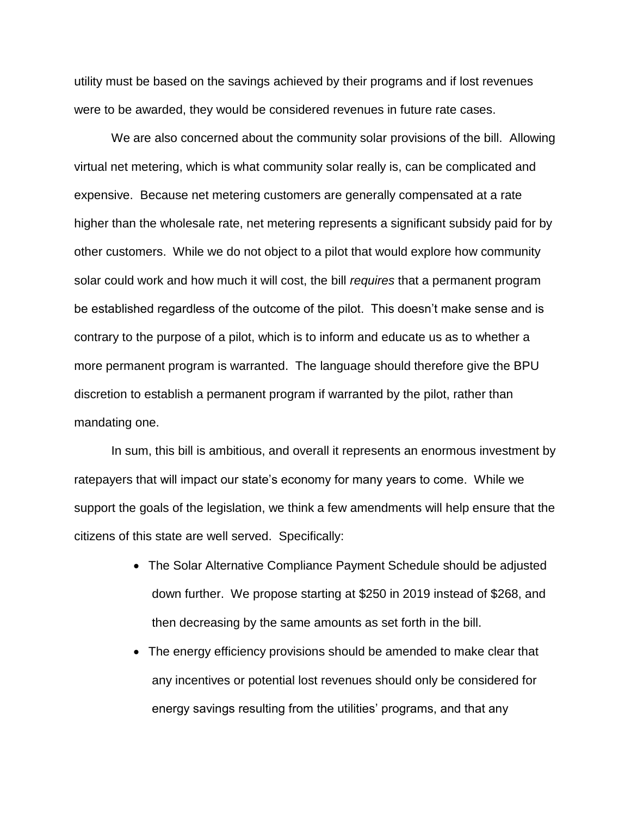utility must be based on the savings achieved by their programs and if lost revenues were to be awarded, they would be considered revenues in future rate cases.

We are also concerned about the community solar provisions of the bill. Allowing virtual net metering, which is what community solar really is, can be complicated and expensive. Because net metering customers are generally compensated at a rate higher than the wholesale rate, net metering represents a significant subsidy paid for by other customers. While we do not object to a pilot that would explore how community solar could work and how much it will cost, the bill *requires* that a permanent program be established regardless of the outcome of the pilot. This doesn't make sense and is contrary to the purpose of a pilot, which is to inform and educate us as to whether a more permanent program is warranted. The language should therefore give the BPU discretion to establish a permanent program if warranted by the pilot, rather than mandating one.

In sum, this bill is ambitious, and overall it represents an enormous investment by ratepayers that will impact our state's economy for many years to come. While we support the goals of the legislation, we think a few amendments will help ensure that the citizens of this state are well served. Specifically:

- The Solar Alternative Compliance Payment Schedule should be adjusted down further. We propose starting at \$250 in 2019 instead of \$268, and then decreasing by the same amounts as set forth in the bill.
- The energy efficiency provisions should be amended to make clear that any incentives or potential lost revenues should only be considered for energy savings resulting from the utilities' programs, and that any